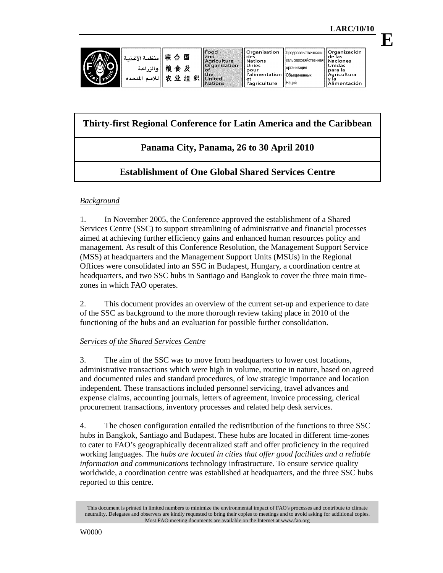**E**

| منظمة الأغذمة<br>ه الن اعة<br>∽<br>لمتحدة | 联<br>国<br>₳<br>粮<br>及<br>食<br>织<br>Νŀ<br>组<br>۰ŧ | Food<br>land<br>Aariculture<br><b>Organization</b><br><b>SOF</b><br><b>sthe</b><br>United<br><b>Nations</b> | ll Organisation<br>des<br>  Nations<br>Unies<br>pour<br>l'alimentation   Объединенных<br>et<br>''agriculture | 'Продовольственная и     Organización<br>. Ісельскохозяйственная  Naciones<br><b>ПООГАНИЗАЦИЯ</b><br><b>Наций</b> | l de las<br><b>Unidas</b><br>Toara la<br>l Aaricultura<br>Alimentación |
|-------------------------------------------|--------------------------------------------------|-------------------------------------------------------------------------------------------------------------|--------------------------------------------------------------------------------------------------------------|-------------------------------------------------------------------------------------------------------------------|------------------------------------------------------------------------|

# **Thirty-first Regional Conference for Latin America and the Caribbean**

# **Panama City, Panama, 26 to 30 April 2010**

# **Establishment of One Global Shared Services Centre**

## *Background*

1. In November 2005, the Conference approved the establishment of a Shared Services Centre (SSC) to support streamlining of administrative and financial processes aimed at achieving further efficiency gains and enhanced human resources policy and management. As result of this Conference Resolution, the Management Support Service (MSS) at headquarters and the Management Support Units (MSUs) in the Regional Offices were consolidated into an SSC in Budapest, Hungary, a coordination centre at headquarters, and two SSC hubs in Santiago and Bangkok to cover the three main timezones in which FAO operates.

2. This document provides an overview of the current set-up and experience to date of the SSC as background to the more thorough review taking place in 2010 of the functioning of the hubs and an evaluation for possible further consolidation.

### *Services of the Shared Services Centre*

3. The aim of the SSC was to move from headquarters to lower cost locations, administrative transactions which were high in volume, routine in nature, based on agreed and documented rules and standard procedures, of low strategic importance and location independent. These transactions included personnel servicing, travel advances and expense claims, accounting journals, letters of agreement, invoice processing, clerical procurement transactions, inventory processes and related help desk services.

4. The chosen configuration entailed the redistribution of the functions to three SSC hubs in Bangkok, Santiago and Budapest. These hubs are located in different time-zones to cater to FAO's geographically decentralized staff and offer proficiency in the required working languages. The *hubs are located in cities that offer good facilities and a reliable information and communications* technology infrastructure. To ensure service quality worldwide, a coordination centre was established at headquarters, and the three SSC hubs reported to this centre.

This document is printed in limited numbers to minimize the environmental impact of FAO's processes and contribute to climate neutrality. Delegates and observers are kindly requested to bring their copies to meetings and to avoid asking for additional copies. Most FAO meeting documents are available on the Internet at www.fao.org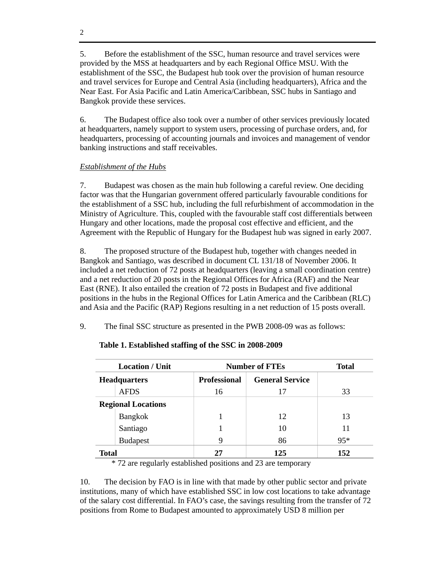5. Before the establishment of the SSC, human resource and travel services were provided by the MSS at headquarters and by each Regional Office MSU. With the establishment of the SSC, the Budapest hub took over the provision of human resource and travel services for Europe and Central Asia (including headquarters), Africa and the Near East. For Asia Pacific and Latin America/Caribbean, SSC hubs in Santiago and Bangkok provide these services.

6. The Budapest office also took over a number of other services previously located at headquarters, namely support to system users, processing of purchase orders, and, for headquarters, processing of accounting journals and invoices and management of vendor banking instructions and staff receivables.

## *Establishment of the Hubs*

7. Budapest was chosen as the main hub following a careful review. One deciding factor was that the Hungarian government offered particularly favourable conditions for the establishment of a SSC hub, including the full refurbishment of accommodation in the Ministry of Agriculture. This, coupled with the favourable staff cost differentials between Hungary and other locations, made the proposal cost effective and efficient, and the Agreement with the Republic of Hungary for the Budapest hub was signed in early 2007.

8. The proposed structure of the Budapest hub, together with changes needed in Bangkok and Santiago, was described in document CL 131/18 of November 2006. It included a net reduction of 72 posts at headquarters (leaving a small coordination centre) and a net reduction of 20 posts in the Regional Offices for Africa (RAF) and the Near East (RNE). It also entailed the creation of 72 posts in Budapest and five additional positions in the hubs in the Regional Offices for Latin America and the Caribbean (RLC) and Asia and the Pacific (RAP) Regions resulting in a net reduction of 15 posts overall.

9. The final SSC structure as presented in the PWB 2008-09 was as follows:

|              | <b>Location</b> / Unit    | <b>Number of FTEs</b> |                        |       |
|--------------|---------------------------|-----------------------|------------------------|-------|
|              | <b>Headquarters</b>       | <b>Professional</b>   | <b>General Service</b> |       |
|              | <b>AFDS</b>               | 16                    | 17                     | 33    |
|              | <b>Regional Locations</b> |                       |                        |       |
|              | <b>Bangkok</b>            |                       | 12                     | 13    |
|              | Santiago                  |                       | 10                     | 11    |
|              | <b>Budapest</b>           | 9                     | 86                     | $95*$ |
| <b>Total</b> |                           | 27                    | 125                    | 152   |

## **Table 1. Established staffing of the SSC in 2008-2009**

\* 72 are regularly established positions and 23 are temporary

10. The decision by FAO is in line with that made by other public sector and private institutions, many of which have established SSC in low cost locations to take advantage of the salary cost differential. In FAO's case, the savings resulting from the transfer of 72 positions from Rome to Budapest amounted to approximately USD 8 million per

2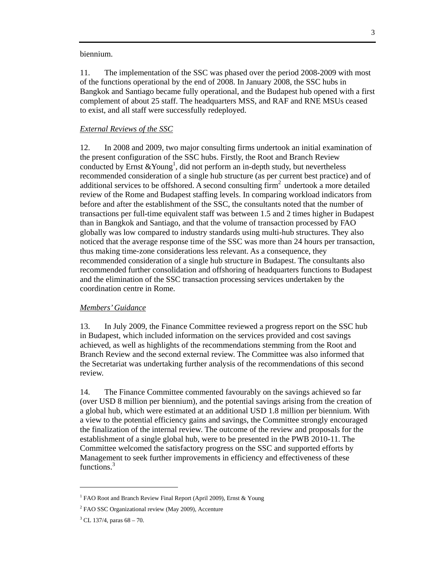biennium.

11. The implementation of the SSC was phased over the period 2008-2009 with most of the functions operational by the end of 2008. In January 2008, the SSC hubs in Bangkok and Santiago became fully operational, and the Budapest hub opened with a first complement of about 25 staff. The headquarters MSS, and RAF and RNE MSUs ceased to exist, and all staff were successfully redeployed.

#### *External Reviews of the SSC*

12. In 2008 and 2009, two major consulting firms undertook an initial examination of the present configuration of the SSC hubs. Firstly, the Root and Branch Review conducted by Ernst  $&$  Young<sup>1</sup>, did not perform an in-depth study, but nevertheless recommended consideration of a single hub structure (as per current best practice) and of additional services to be offshored. A second consulting  $\lim^2$  undertook a more detailed review of the Rome and Budapest staffing levels. In comparing workload indicators from before and after the establishment of the SSC, the consultants noted that the number of transactions per full-time equivalent staff was between 1.5 and 2 times higher in Budapest than in Bangkok and Santiago, and that the volume of transaction processed by FAO globally was low compared to industry standards using multi-hub structures. They also noticed that the average response time of the SSC was more than 24 hours per transaction, thus making time-zone considerations less relevant. As a consequence, they recommended consideration of a single hub structure in Budapest. The consultants also recommended further consolidation and offshoring of headquarters functions to Budapest and the elimination of the SSC transaction processing services undertaken by the coordination centre in Rome.

#### *Members' Guidance*

13. In July 2009, the Finance Committee reviewed a progress report on the SSC hub in Budapest, which included information on the services provided and cost savings achieved, as well as highlights of the recommendations stemming from the Root and Branch Review and the second external review. The Committee was also informed that the Secretariat was undertaking further analysis of the recommendations of this second review.

14. The Finance Committee commented favourably on the savings achieved so far (over USD 8 million per biennium), and the potential savings arising from the creation of a global hub, which were estimated at an additional USD 1.8 million per biennium. With a view to the potential efficiency gains and savings, the Committee strongly encouraged the finalization of the internal review. The outcome of the review and proposals for the establishment of a single global hub, were to be presented in the PWB 2010-11. The Committee welcomed the satisfactory progress on the SSC and supported efforts by Management to seek further improvements in efficiency and effectiveness of these functions.<sup>3</sup>

 $\overline{a}$ 

<sup>&</sup>lt;sup>1</sup> FAO Root and Branch Review Final Report (April 2009), Ernst & Young

<sup>&</sup>lt;sup>2</sup> FAO SSC Organizational review (May 2009), Accenture

 $3$  CL 137/4, paras 68 – 70.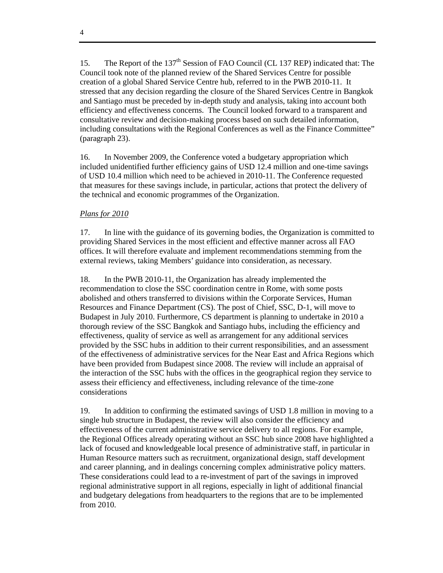15. The Report of the 137<sup>th</sup> Session of FAO Council (CL 137 REP) indicated that: The Council took note of the planned review of the Shared Services Centre for possible creation of a global Shared Service Centre hub, referred to in the PWB 2010-11. It stressed that any decision regarding the closure of the Shared Services Centre in Bangkok and Santiago must be preceded by in-depth study and analysis, taking into account both efficiency and effectiveness concerns. The Council looked forward to a transparent and consultative review and decision-making process based on such detailed information, including consultations with the Regional Conferences as well as the Finance Committee" (paragraph 23).

16. In November 2009, the Conference voted a budgetary appropriation which included unidentified further efficiency gains of USD 12.4 million and one-time savings of USD 10.4 million which need to be achieved in 2010-11. The Conference requested that measures for these savings include, in particular, actions that protect the delivery of the technical and economic programmes of the Organization.

### *Plans for 2010*

17. In line with the guidance of its governing bodies, the Organization is committed to providing Shared Services in the most efficient and effective manner across all FAO offices. It will therefore evaluate and implement recommendations stemming from the external reviews, taking Members' guidance into consideration, as necessary.

18. In the PWB 2010-11, the Organization has already implemented the recommendation to close the SSC coordination centre in Rome, with some posts abolished and others transferred to divisions within the Corporate Services, Human Resources and Finance Department (CS). The post of Chief, SSC, D-1, will move to Budapest in July 2010. Furthermore, CS department is planning to undertake in 2010 a thorough review of the SSC Bangkok and Santiago hubs, including the efficiency and effectiveness, quality of service as well as arrangement for any additional services provided by the SSC hubs in addition to their current responsibilities, and an assessment of the effectiveness of administrative services for the Near East and Africa Regions which have been provided from Budapest since 2008. The review will include an appraisal of the interaction of the SSC hubs with the offices in the geographical region they service to assess their efficiency and effectiveness, including relevance of the time-zone considerations

19. In addition to confirming the estimated savings of USD 1.8 million in moving to a single hub structure in Budapest, the review will also consider the efficiency and effectiveness of the current administrative service delivery to all regions. For example, the Regional Offices already operating without an SSC hub since 2008 have highlighted a lack of focused and knowledgeable local presence of administrative staff, in particular in Human Resource matters such as recruitment, organizational design, staff development and career planning, and in dealings concerning complex administrative policy matters. These considerations could lead to a re-investment of part of the savings in improved regional administrative support in all regions, especially in light of additional financial and budgetary delegations from headquarters to the regions that are to be implemented from 2010.